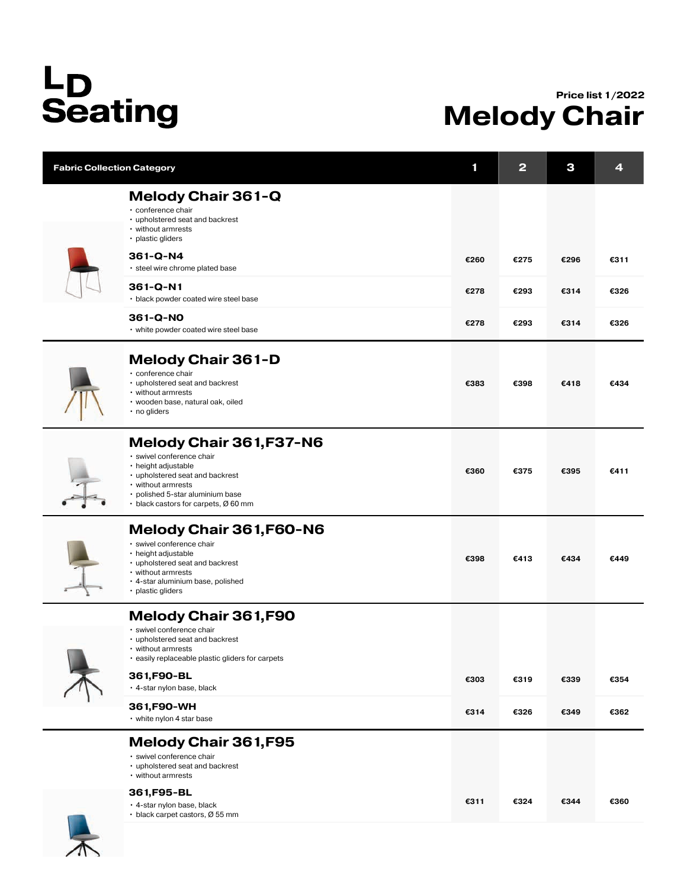## L<sub>D</sub><br>Seating

## Price list 1/2022 Melody Chair

|  | <b>Fabric Collection Category</b>                                                                                                                                                                                              | 1    | $\mathbf{2}$ | 3    | 4    |
|--|--------------------------------------------------------------------------------------------------------------------------------------------------------------------------------------------------------------------------------|------|--------------|------|------|
|  | <b>Melody Chair 361-Q</b><br>· conference chair<br>• upholstered seat and backrest<br>• without armrests<br>· plastic gliders                                                                                                  |      |              |      |      |
|  | 361-Q-N4<br>• steel wire chrome plated base                                                                                                                                                                                    | €260 | €275         | €296 | €311 |
|  | 361-Q-N1<br>· black powder coated wire steel base                                                                                                                                                                              | €278 | €293         | €314 | €326 |
|  | 361-Q-NO<br>• white powder coated wire steel base                                                                                                                                                                              | €278 | €293         | €314 | €326 |
|  | <b>Melody Chair 361-D</b><br>· conference chair<br>• upholstered seat and backrest<br>• without armrests<br>• wooden base, natural oak, oiled<br>• no gliders                                                                  | €383 | €398         | €418 | €434 |
|  | <b>Melody Chair 361, F37-N6</b><br>· swivel conference chair<br>· height adjustable<br>• upholstered seat and backrest<br>• without armrests<br>• polished 5-star aluminium base<br>$\cdot$ black castors for carpets, Ø 60 mm | €360 | €375         | €395 | €411 |
|  | Melody Chair 361, F60-N6<br>· swivel conference chair<br>• height adjustable<br>• upholstered seat and backrest<br>• without armrests<br>· 4-star aluminium base, polished<br>• plastic gliders                                | €398 | €413         | €434 | €449 |
|  | <b>Melody Chair 361,F90</b><br>· swivel conference chair<br>• upholstered seat and backrest<br>• without armrests<br>• easily replaceable plastic gliders for carpets                                                          |      |              |      |      |
|  | 361, F90-BL<br>⋅ 4-star nylon base, black                                                                                                                                                                                      | €303 | €319         | €339 | €354 |
|  | 361, F90-WH<br>• white nylon 4 star base                                                                                                                                                                                       | €314 | €326         | €349 | €362 |
|  | <b>Melody Chair 361, F95</b><br>· swivel conference chair<br>• upholstered seat and backrest<br>• without armrests                                                                                                             |      |              |      |      |
|  | 361, F95-BL<br>• 4-star nylon base, black<br>$\cdot$ black carpet castors, Ø 55 mm                                                                                                                                             | €311 | €324         | €344 | €360 |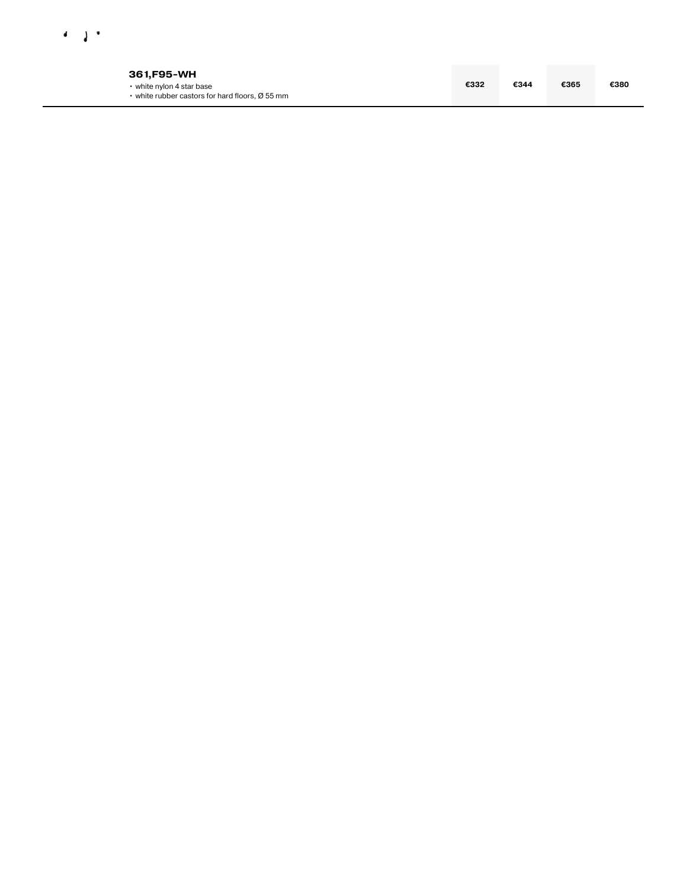

| 361.F95-WH                                                                               |      |      |      |      |
|------------------------------------------------------------------------------------------|------|------|------|------|
| $\cdot$ white nylon 4 star base<br>$\cdot$ white rubber castors for hard floors, Ø 55 mm | €332 | €344 | €365 | €380 |